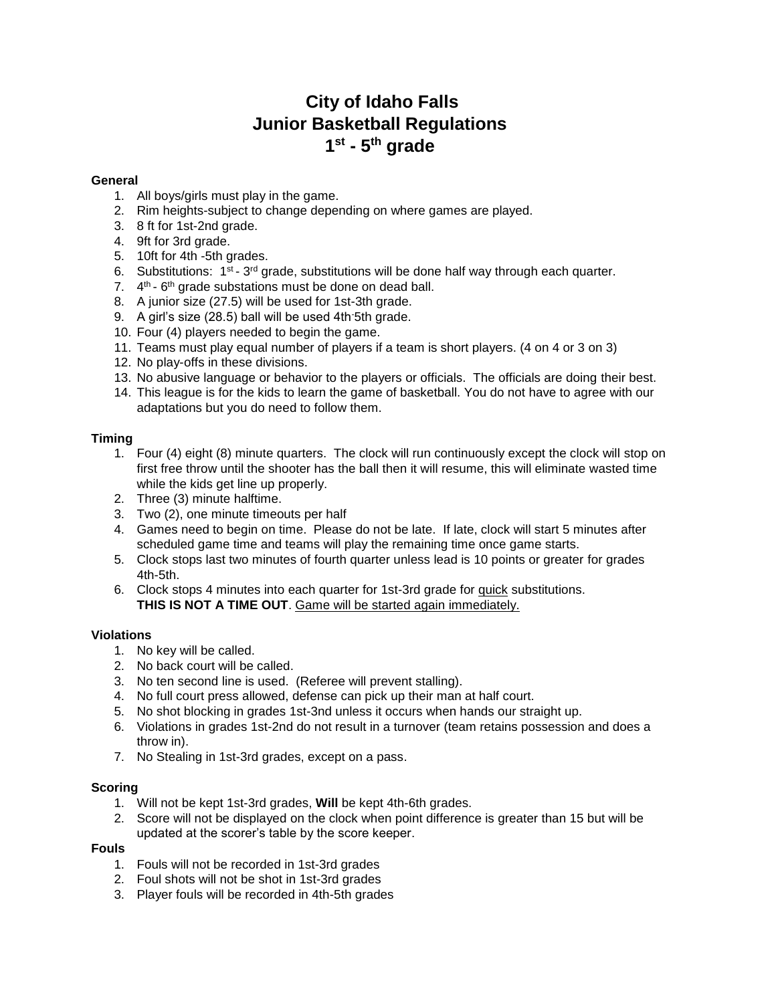# **City of Idaho Falls Junior Basketball Regulations 1 st - 5 th grade**

### **General**

- 1. All boys/girls must play in the game.
- 2. Rim heights-subject to change depending on where games are played.
- 3. 8 ft for 1st-2nd grade.
- 4. 9ft for 3rd grade.
- 5. 10ft for 4th -5th grades.
- 6. Substitutions:  $1<sup>st</sup> 3<sup>rd</sup>$  grade, substitutions will be done half way through each quarter.
- 7. 4<sup>th</sup> 6<sup>th</sup> grade substations must be done on dead ball.
- 8. A junior size (27.5) will be used for 1st-3th grade.
- 9. A girl's size (28.5) ball will be used 4th-5th grade.
- 10. Four (4) players needed to begin the game.
- 11. Teams must play equal number of players if a team is short players. (4 on 4 or 3 on 3)
- 12. No play-offs in these divisions.
- 13. No abusive language or behavior to the players or officials. The officials are doing their best.
- 14. This league is for the kids to learn the game of basketball. You do not have to agree with our adaptations but you do need to follow them.

## **Timing**

- 1. Four (4) eight (8) minute quarters. The clock will run continuously except the clock will stop on first free throw until the shooter has the ball then it will resume, this will eliminate wasted time while the kids get line up properly.
- 2. Three (3) minute halftime.
- 3. Two (2), one minute timeouts per half
- 4. Games need to begin on time. Please do not be late. If late, clock will start 5 minutes after scheduled game time and teams will play the remaining time once game starts.
- 5. Clock stops last two minutes of fourth quarter unless lead is 10 points or greater for grades 4th-5th.
- 6. Clock stops 4 minutes into each quarter for 1st-3rd grade for quick substitutions. **THIS IS NOT A TIME OUT**. Game will be started again immediately.

### **Violations**

- 1. No key will be called.
- 2. No back court will be called.
- 3. No ten second line is used. (Referee will prevent stalling).
- 4. No full court press allowed, defense can pick up their man at half court.
- 5. No shot blocking in grades 1st-3nd unless it occurs when hands our straight up.
- 6. Violations in grades 1st-2nd do not result in a turnover (team retains possession and does a throw in).
- 7. No Stealing in 1st-3rd grades, except on a pass.

### **Scoring**

- 1. Will not be kept 1st-3rd grades, **Will** be kept 4th-6th grades.
- 2. Score will not be displayed on the clock when point difference is greater than 15 but will be updated at the scorer's table by the score keeper.

## **Fouls**

- 1. Fouls will not be recorded in 1st-3rd grades
- 2. Foul shots will not be shot in 1st-3rd grades
- 3. Player fouls will be recorded in 4th-5th grades